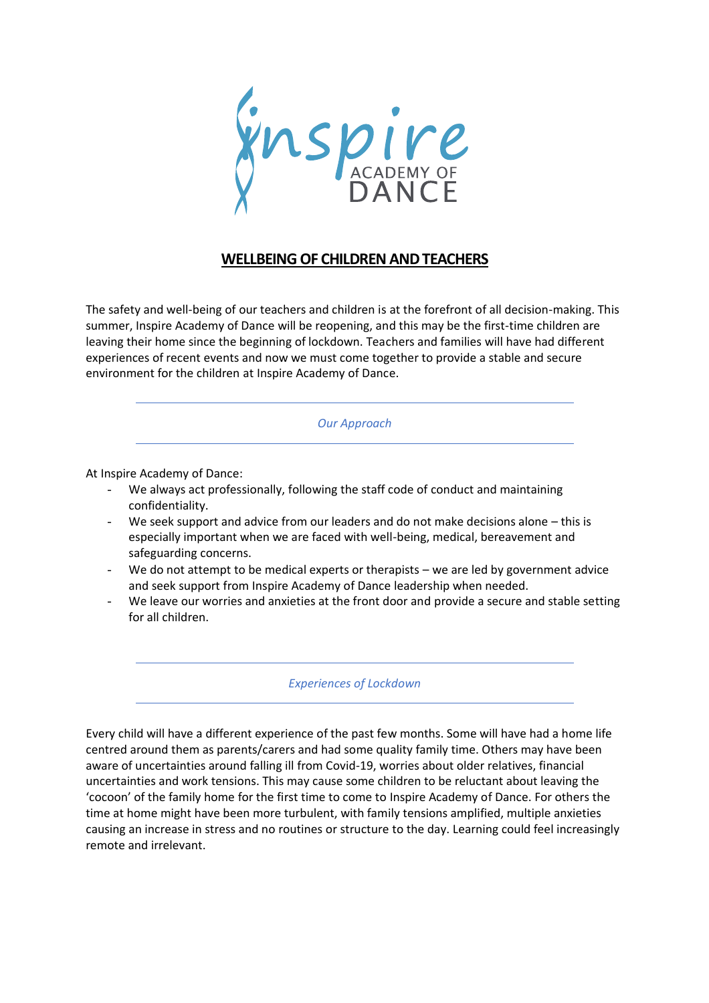ynspire

# **WELLBEING OF CHILDREN AND TEACHERS**

The safety and well-being of our teachers and children is at the forefront of all decision-making. This summer, Inspire Academy of Dance will be reopening, and this may be the first-time children are leaving their home since the beginning of lockdown. Teachers and families will have had different experiences of recent events and now we must come together to provide a stable and secure environment for the children at Inspire Academy of Dance.

*Our Approach*

At Inspire Academy of Dance:

- We always act professionally, following the staff code of conduct and maintaining confidentiality.
- We seek support and advice from our leaders and do not make decisions alone this is especially important when we are faced with well-being, medical, bereavement and safeguarding concerns.
- We do not attempt to be medical experts or therapists we are led by government advice and seek support from Inspire Academy of Dance leadership when needed.
- We leave our worries and anxieties at the front door and provide a secure and stable setting for all children.

*Experiences of Lockdown*

Every child will have a different experience of the past few months. Some will have had a home life centred around them as parents/carers and had some quality family time. Others may have been aware of uncertainties around falling ill from Covid-19, worries about older relatives, financial uncertainties and work tensions. This may cause some children to be reluctant about leaving the 'cocoon' of the family home for the first time to come to Inspire Academy of Dance. For others the time at home might have been more turbulent, with family tensions amplified, multiple anxieties causing an increase in stress and no routines or structure to the day. Learning could feel increasingly remote and irrelevant.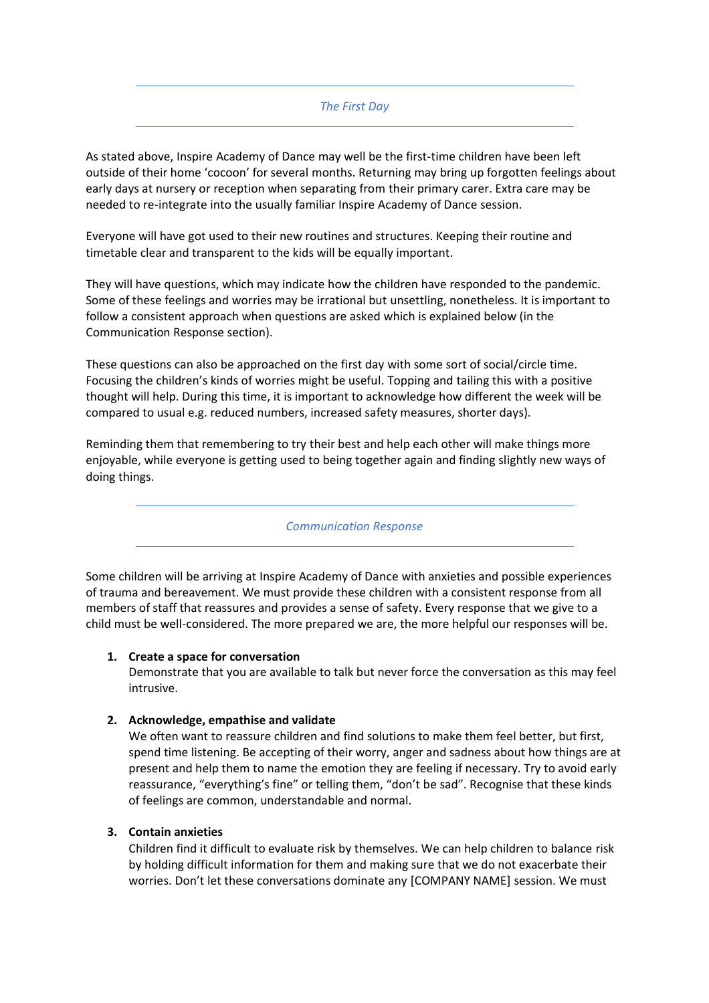# *The First Day*

As stated above, Inspire Academy of Dance may well be the first-time children have been left outside of their home 'cocoon' for several months. Returning may bring up forgotten feelings about early days at nursery or reception when separating from their primary carer. Extra care may be needed to re-integrate into the usually familiar Inspire Academy of Dance session.

Everyone will have got used to their new routines and structures. Keeping their routine and timetable clear and transparent to the kids will be equally important.

They will have questions, which may indicate how the children have responded to the pandemic. Some of these feelings and worries may be irrational but unsettling, nonetheless. It is important to follow a consistent approach when questions are asked which is explained below (in the Communication Response section).

These questions can also be approached on the first day with some sort of social/circle time. Focusing the children's kinds of worries might be useful. Topping and tailing this with a positive thought will help. During this time, it is important to acknowledge how different the week will be compared to usual e.g. reduced numbers, increased safety measures, shorter days).

Reminding them that remembering to try their best and help each other will make things more enjoyable, while everyone is getting used to being together again and finding slightly new ways of doing things.

#### *Communication Response*

Some children will be arriving at Inspire Academy of Dance with anxieties and possible experiences of trauma and bereavement. We must provide these children with a consistent response from all members of staff that reassures and provides a sense of safety. Every response that we give to a child must be well-considered. The more prepared we are, the more helpful our responses will be.

#### **1. Create a space for conversation**

Demonstrate that you are available to talk but never force the conversation as this may feel intrusive.

### **2. Acknowledge, empathise and validate**

We often want to reassure children and find solutions to make them feel better, but first, spend time listening. Be accepting of their worry, anger and sadness about how things are at present and help them to name the emotion they are feeling if necessary. Try to avoid early reassurance, "everything's fine" or telling them, "don't be sad". Recognise that these kinds of feelings are common, understandable and normal.

### **3. Contain anxieties**

Children find it difficult to evaluate risk by themselves. We can help children to balance risk by holding difficult information for them and making sure that we do not exacerbate their worries. Don't let these conversations dominate any [COMPANY NAME] session. We must